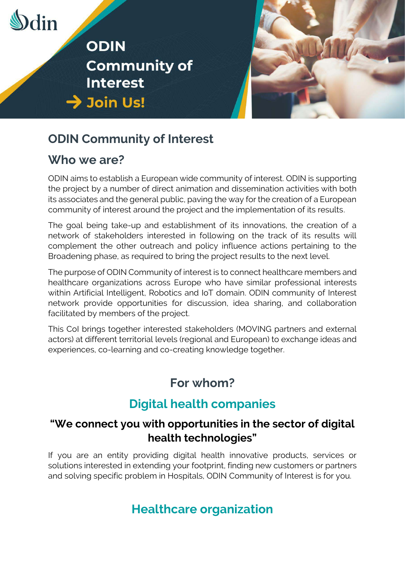

# **ODIN Community of Interest**

### **Who we are?**

ODIN aims to establish a European wide community of interest. ODIN is supporting the project by a number of direct animation and dissemination activities with both its associates and the general public, paving the way for the creation of a European community of interest around the project and the implementation of its results.

The goal being take-up and establishment of its innovations, the creation of a network of stakeholders interested in following on the track of its results will complement the other outreach and policy influence actions pertaining to the Broadening phase, as required to bring the project results to the next level.

The purpose of ODIN Community of interest is to connect healthcare members and healthcare organizations across Europe who have similar professional interests within Artificial Intelligent, Robotics and IoT domain. ODIN community of Interest network provide opportunities for discussion, idea sharing, and collaboration facilitated by members of the project.

This CoI brings together interested stakeholders (MOVING partners and external actors) at different territorial levels (regional and European) to exchange ideas and experiences, co-learning and co-creating knowledge together.

# **For whom?**

## **Digital health companies**

### **"We connect you with opportunities in the sector of digital health technologies"**

If you are an entity providing digital health innovative products, services or solutions interested in extending your footprint, finding new customers or partners and solving specific problem in Hospitals, ODIN Community of Interest is for you.

## **Healthcare organization**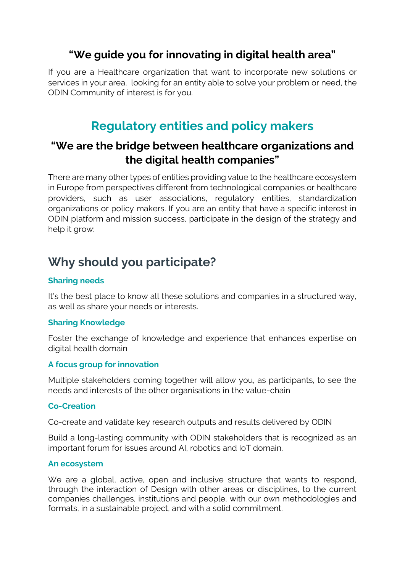### **"We guide you for innovating in digital health area"**

If you are a Healthcare organization that want to incorporate new solutions or services in your area, looking for an entity able to solve your problem or need, the ODIN Community of interest is for you.

## **Regulatory entities and policy makers**

### **"We are the bridge between healthcare organizations and the digital health companies"**

There are many other types of entities providing value to the healthcare ecosystem in Europe from perspectives different from technological companies or healthcare providers, such as user associations, regulatory entities, standardization organizations or policy makers. If you are an entity that have a specific interest in ODIN platform and mission success, participate in the design of the strategy and help it grow:

## **Why should you participate?**

### **Sharing needs**

It's the best place to know all these solutions and companies in a structured way, as well as share your needs or interests.

### **Sharing Knowledge**

Foster the exchange of knowledge and experience that enhances expertise on digital health domain

### **A focus group for innovation**

Multiple stakeholders coming together will allow you, as participants, to see the needs and interests of the other organisations in the value-chain

### **Co-Creation**

Co-create and validate key research outputs and results delivered by ODIN

Build a long-lasting community with ODIN stakeholders that is recognized as an important forum for issues around AI, robotics and IoT domain.

### **An ecosystem**

We are a global, active, open and inclusive structure that wants to respond, through the interaction of Design with other areas or disciplines, to the current companies challenges, institutions and people, with our own methodologies and formats, in a sustainable project, and with a solid commitment.